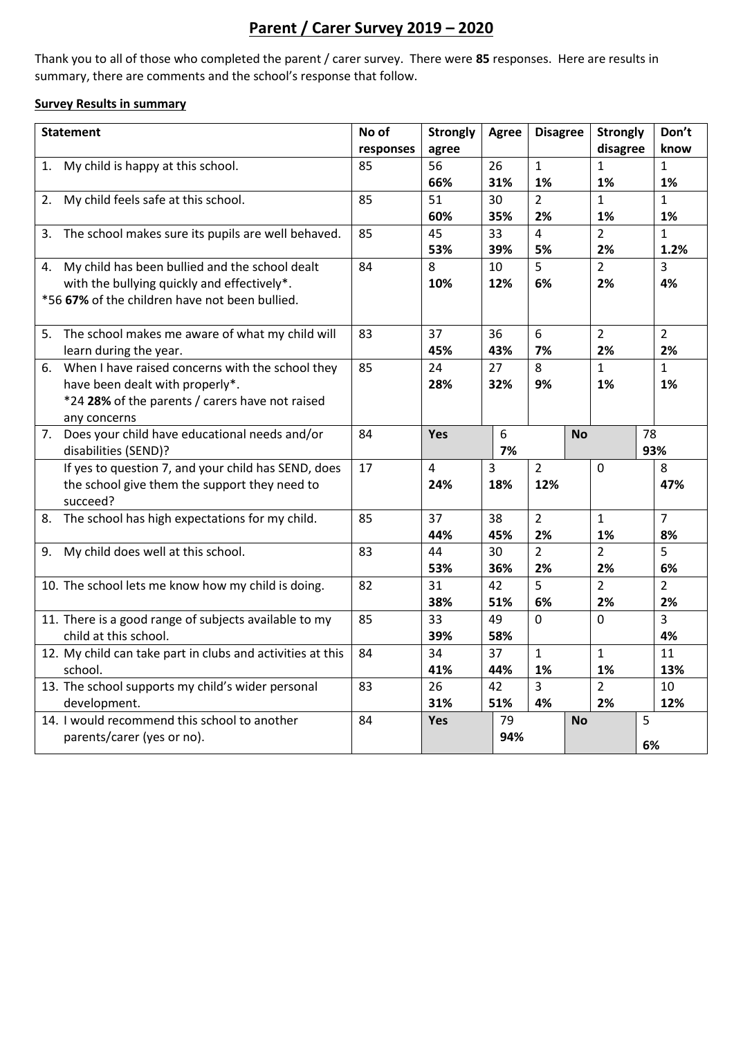# **Parent / Carer Survey 2019 – 2020**

Thank you to all of those who completed the parent / carer survey. There were **85** responses. Here are results in summary, there are comments and the school's response that follow.

#### **Survey Results in summary**

| <b>Statement</b>                                                            | No of     | <b>Strongly</b> | <b>Agree</b> | <b>Disagree</b> | <b>Strongly</b> | Don't          |
|-----------------------------------------------------------------------------|-----------|-----------------|--------------|-----------------|-----------------|----------------|
|                                                                             | responses | agree           |              |                 | disagree        | know           |
| My child is happy at this school.<br>1.                                     | 85        | 56              | 26           | $\mathbf{1}$    | 1               | $\mathbf{1}$   |
|                                                                             |           | 66%             | 31%          | 1%              | 1%              | 1%             |
| 2.<br>My child feels safe at this school.                                   | 85        | 51              | 30           | $\overline{2}$  | $\mathbf{1}$    | $\mathbf{1}$   |
|                                                                             |           | 60%             | 35%          | 2%              | 1%              | 1%             |
| The school makes sure its pupils are well behaved.<br>3.                    | 85        | 45              | 33           | 4               | $\overline{2}$  | $\mathbf{1}$   |
|                                                                             |           | 53%             | 39%          | 5%              | 2%              | 1.2%           |
| My child has been bullied and the school dealt<br>4.                        | 84        | 8               | 10           | 5               | $\overline{2}$  | 3              |
| with the bullying quickly and effectively*.                                 |           | 10%             | 12%          | 6%              | 2%              | 4%             |
| *56 67% of the children have not been bullied.                              |           |                 |              |                 |                 |                |
|                                                                             |           |                 |              |                 |                 |                |
| The school makes me aware of what my child will<br>5.                       | 83        | 37              | 36           | 6               | $\overline{2}$  | $\overline{2}$ |
| learn during the year.                                                      |           | 45%             | 43%          | 7%              | 2%              | 2%             |
| When I have raised concerns with the school they<br>6.                      | 85        | 24              | 27           | 8               | $\mathbf{1}$    | $\mathbf{1}$   |
| have been dealt with properly*.                                             |           | 28%             | 32%          | 9%              | 1%              | 1%             |
| *24 28% of the parents / carers have not raised                             |           |                 |              |                 |                 |                |
| any concerns                                                                | 84        | Yes             | 6            |                 | <b>No</b>       | 78             |
| Does your child have educational needs and/or<br>7.<br>disabilities (SEND)? |           |                 | 7%           |                 |                 | 93%            |
| If yes to question 7, and your child has SEND, does                         | 17        | 4               | 3            | $\overline{2}$  | $\mathbf 0$     | 8              |
| the school give them the support they need to                               |           | 24%             | 18%          | 12%             |                 | 47%            |
| succeed?                                                                    |           |                 |              |                 |                 |                |
| The school has high expectations for my child.<br>8.                        | 85        | 37              | 38           | $\overline{2}$  | $\mathbf{1}$    | $\overline{7}$ |
|                                                                             |           | 44%             | 45%          | 2%              | 1%              | 8%             |
| My child does well at this school.<br>9.                                    | 83        | 44              | 30           | $\overline{2}$  | $\overline{2}$  | 5              |
|                                                                             |           | 53%             | 36%          | 2%              | 2%              | 6%             |
| 10. The school lets me know how my child is doing.                          | 82        | 31              | 42           | 5               | $\overline{2}$  | $\overline{2}$ |
|                                                                             |           | 38%             | 51%          | 6%              | 2%              | 2%             |
| 11. There is a good range of subjects available to my                       | 85        | 33              | 49           | 0               | 0               | 3              |
| child at this school.                                                       |           | 39%             | 58%          |                 |                 | 4%             |
| 12. My child can take part in clubs and activities at this                  | 84        | 34              | 37           | $\mathbf{1}$    | $\mathbf{1}$    | 11             |
| school.                                                                     |           | 41%             | 44%          | 1%              | 1%              | 13%            |
| 13. The school supports my child's wider personal                           | 83        | 26              | 42           | 3               | $\overline{2}$  | 10             |
| development.                                                                |           | 31%             | 51%          | 4%              | 2%              | 12%            |
| 14. I would recommend this school to another                                | 84        | Yes             | 79           |                 | <b>No</b>       | 5              |
| parents/carer (yes or no).                                                  |           |                 | 94%          |                 |                 | 6%             |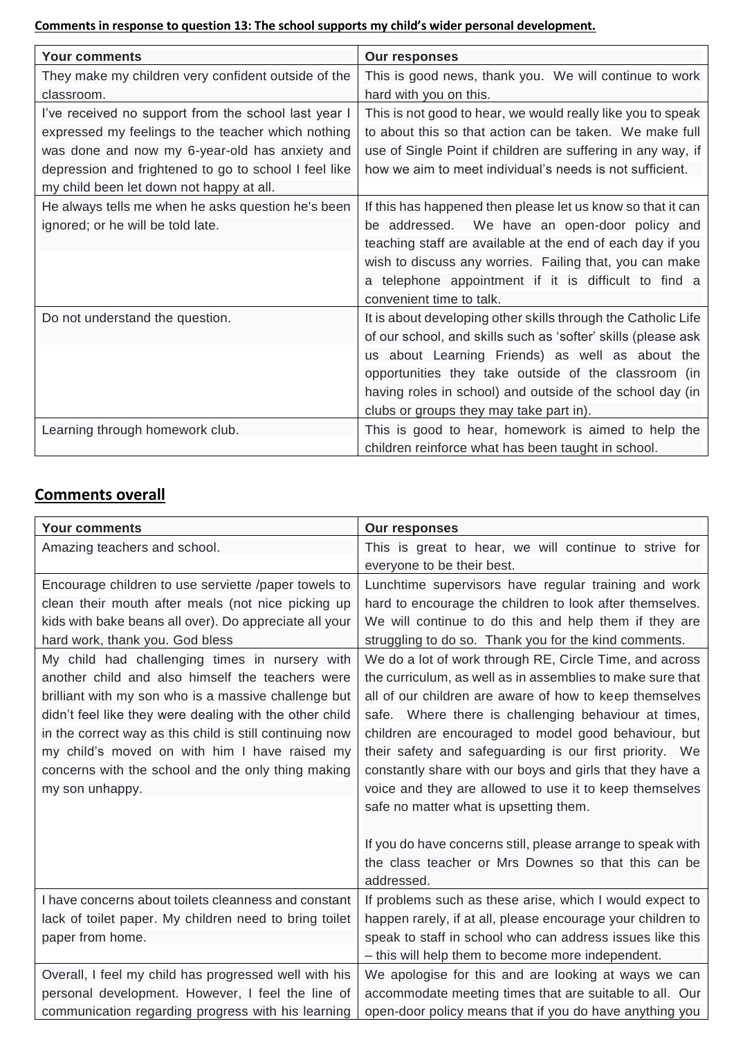**Comments in response to question 13: The school supports my child's wider personal development.**

| <b>Your comments</b>                                  | <b>Our responses</b>                                          |
|-------------------------------------------------------|---------------------------------------------------------------|
| They make my children very confident outside of the   | This is good news, thank you. We will continue to work        |
| classroom.                                            | hard with you on this.                                        |
| I've received no support from the school last year I  | This is not good to hear, we would really like you to speak   |
| expressed my feelings to the teacher which nothing    | to about this so that action can be taken. We make full       |
| was done and now my 6-year-old has anxiety and        | use of Single Point if children are suffering in any way, if  |
| depression and frightened to go to school I feel like | how we aim to meet individual's needs is not sufficient.      |
| my child been let down not happy at all.              |                                                               |
| He always tells me when he asks question he's been    | If this has happened then please let us know so that it can   |
| ignored; or he will be told late.                     | We have an open-door policy and<br>be addressed.              |
|                                                       | teaching staff are available at the end of each day if you    |
|                                                       | wish to discuss any worries. Failing that, you can make       |
|                                                       | a telephone appointment if it is difficult to find a          |
|                                                       | convenient time to talk.                                      |
| Do not understand the question.                       | It is about developing other skills through the Catholic Life |
|                                                       | of our school, and skills such as 'softer' skills (please ask |
|                                                       | us about Learning Friends) as well as about the               |
|                                                       | opportunities they take outside of the classroom (in          |
|                                                       | having roles in school) and outside of the school day (in     |
|                                                       | clubs or groups they may take part in).                       |
| Learning through homework club.                       | This is good to hear, homework is aimed to help the           |
|                                                       | children reinforce what has been taught in school.            |

# **Comments overall**

| <b>Your comments</b>                                     | <b>Our responses</b>                                        |
|----------------------------------------------------------|-------------------------------------------------------------|
| Amazing teachers and school.                             | This is great to hear, we will continue to strive for       |
|                                                          | everyone to be their best.                                  |
| Encourage children to use serviette /paper towels to     | Lunchtime supervisors have regular training and work        |
| clean their mouth after meals (not nice picking up       | hard to encourage the children to look after themselves.    |
| kids with bake beans all over). Do appreciate all your   | We will continue to do this and help them if they are       |
| hard work, thank you. God bless                          | struggling to do so. Thank you for the kind comments.       |
| My child had challenging times in nursery with           | We do a lot of work through RE, Circle Time, and across     |
| another child and also himself the teachers were         | the curriculum, as well as in assemblies to make sure that  |
| brilliant with my son who is a massive challenge but     | all of our children are aware of how to keep themselves     |
| didn't feel like they were dealing with the other child  | safe. Where there is challenging behaviour at times,        |
| in the correct way as this child is still continuing now | children are encouraged to model good behaviour, but        |
| my child's moved on with him I have raised my            | their safety and safeguarding is our first priority. We     |
| concerns with the school and the only thing making       | constantly share with our boys and girls that they have a   |
| my son unhappy.                                          | voice and they are allowed to use it to keep themselves     |
|                                                          | safe no matter what is upsetting them.                      |
|                                                          | If you do have concerns still, please arrange to speak with |
|                                                          | the class teacher or Mrs Downes so that this can be         |
|                                                          | addressed.                                                  |
| I have concerns about toilets cleanness and constant     | If problems such as these arise, which I would expect to    |
| lack of toilet paper. My children need to bring toilet   | happen rarely, if at all, please encourage your children to |
| paper from home.                                         | speak to staff in school who can address issues like this   |
|                                                          | - this will help them to become more independent.           |
| Overall, I feel my child has progressed well with his    | We apologise for this and are looking at ways we can        |
| personal development. However, I feel the line of        | accommodate meeting times that are suitable to all. Our     |
| communication regarding progress with his learning       | open-door policy means that if you do have anything you     |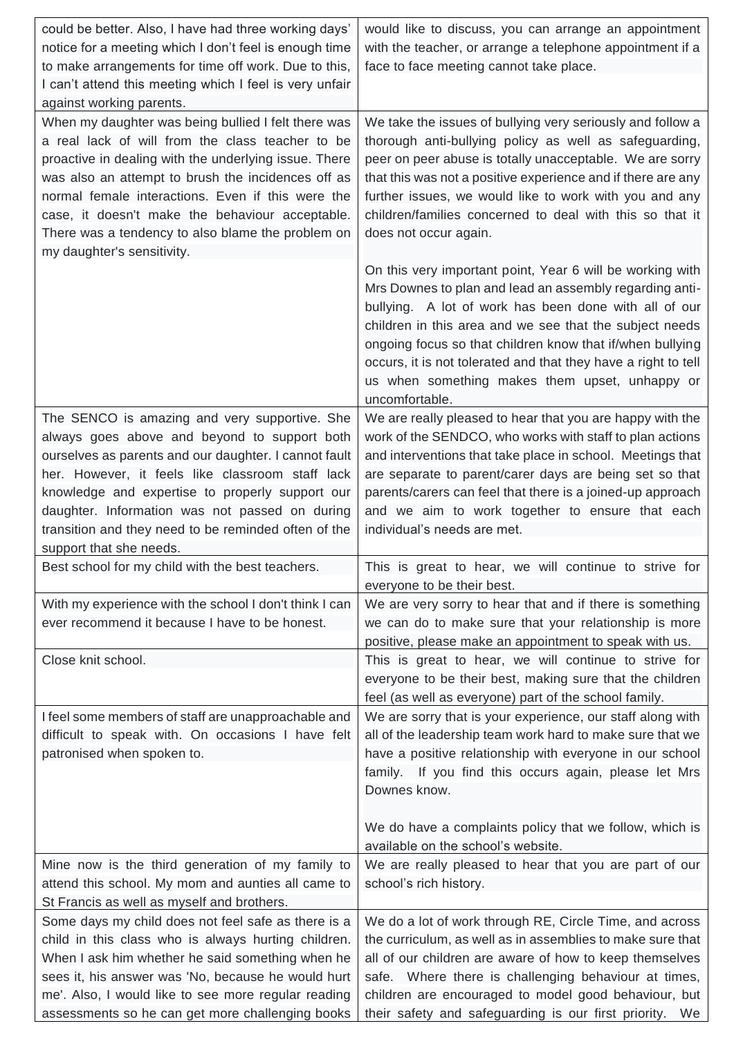| could be better. Also, I have had three working days'<br>notice for a meeting which I don't feel is enough time<br>to make arrangements for time off work. Due to this,<br>I can't attend this meeting which I feel is very unfair                                                                                                                                                                                | would like to discuss, you can arrange an appointment<br>with the teacher, or arrange a telephone appointment if a<br>face to face meeting cannot take place.                                                                                                                                                                                                                                                                               |
|-------------------------------------------------------------------------------------------------------------------------------------------------------------------------------------------------------------------------------------------------------------------------------------------------------------------------------------------------------------------------------------------------------------------|---------------------------------------------------------------------------------------------------------------------------------------------------------------------------------------------------------------------------------------------------------------------------------------------------------------------------------------------------------------------------------------------------------------------------------------------|
| against working parents.                                                                                                                                                                                                                                                                                                                                                                                          |                                                                                                                                                                                                                                                                                                                                                                                                                                             |
| When my daughter was being bullied I felt there was<br>a real lack of will from the class teacher to be<br>proactive in dealing with the underlying issue. There<br>was also an attempt to brush the incidences off as<br>normal female interactions. Even if this were the<br>case, it doesn't make the behaviour acceptable.<br>There was a tendency to also blame the problem on<br>my daughter's sensitivity. | We take the issues of bullying very seriously and follow a<br>thorough anti-bullying policy as well as safeguarding,<br>peer on peer abuse is totally unacceptable. We are sorry<br>that this was not a positive experience and if there are any<br>further issues, we would like to work with you and any<br>children/families concerned to deal with this so that it<br>does not occur again.                                             |
|                                                                                                                                                                                                                                                                                                                                                                                                                   | On this very important point, Year 6 will be working with<br>Mrs Downes to plan and lead an assembly regarding anti-<br>bullying. A lot of work has been done with all of our<br>children in this area and we see that the subject needs<br>ongoing focus so that children know that if/when bullying<br>occurs, it is not tolerated and that they have a right to tell<br>us when something makes them upset, unhappy or<br>uncomfortable. |
| The SENCO is amazing and very supportive. She<br>always goes above and beyond to support both<br>ourselves as parents and our daughter. I cannot fault<br>her. However, it feels like classroom staff lack<br>knowledge and expertise to properly support our<br>daughter. Information was not passed on during<br>transition and they need to be reminded often of the<br>support that she needs.                | We are really pleased to hear that you are happy with the<br>work of the SENDCO, who works with staff to plan actions<br>and interventions that take place in school. Meetings that<br>are separate to parent/carer days are being set so that<br>parents/carers can feel that there is a joined-up approach<br>and we aim to work together to ensure that each<br>individual's needs are met.                                              |
| Best school for my child with the best teachers.                                                                                                                                                                                                                                                                                                                                                                  | This is great to hear, we will continue to strive for                                                                                                                                                                                                                                                                                                                                                                                       |
|                                                                                                                                                                                                                                                                                                                                                                                                                   | everyone to be their best.                                                                                                                                                                                                                                                                                                                                                                                                                  |
| With my experience with the school I don't think I can<br>ever recommend it because I have to be honest.                                                                                                                                                                                                                                                                                                          | We are very sorry to hear that and if there is something<br>we can do to make sure that your relationship is more<br>positive, please make an appointment to speak with us.                                                                                                                                                                                                                                                                 |
| Close knit school.                                                                                                                                                                                                                                                                                                                                                                                                | This is great to hear, we will continue to strive for<br>everyone to be their best, making sure that the children<br>feel (as well as everyone) part of the school family.                                                                                                                                                                                                                                                                  |
| I feel some members of staff are unapproachable and<br>difficult to speak with. On occasions I have felt<br>patronised when spoken to.                                                                                                                                                                                                                                                                            | We are sorry that is your experience, our staff along with<br>all of the leadership team work hard to make sure that we<br>have a positive relationship with everyone in our school<br>family. If you find this occurs again, please let Mrs<br>Downes know.                                                                                                                                                                                |
|                                                                                                                                                                                                                                                                                                                                                                                                                   | We do have a complaints policy that we follow, which is<br>available on the school's website.                                                                                                                                                                                                                                                                                                                                               |
| Mine now is the third generation of my family to<br>attend this school. My mom and aunties all came to<br>St Francis as well as myself and brothers.                                                                                                                                                                                                                                                              | We are really pleased to hear that you are part of our<br>school's rich history.                                                                                                                                                                                                                                                                                                                                                            |
| Some days my child does not feel safe as there is a                                                                                                                                                                                                                                                                                                                                                               |                                                                                                                                                                                                                                                                                                                                                                                                                                             |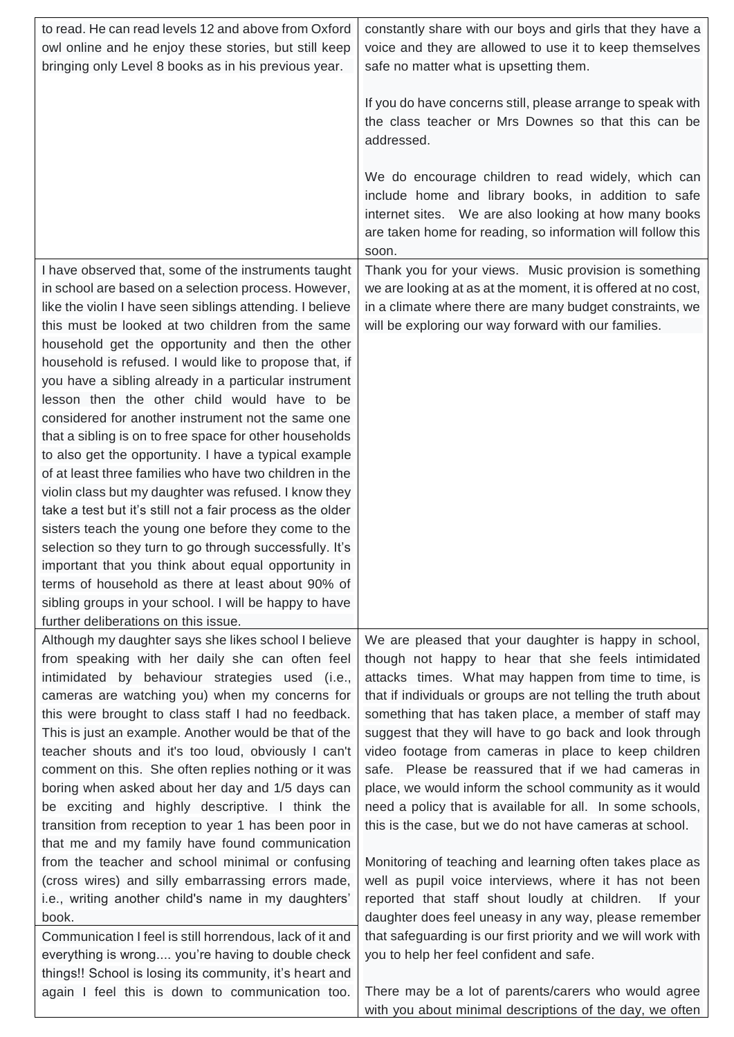| to read. He can read levels 12 and above from Oxford<br>owl online and he enjoy these stories, but still keep                                                                                                                                                                                                                                                                                                                                                                                                                                                                                                                                                                                                                                                                                                                                                                                                                                                                                                     | constantly share with our boys and girls that they have a<br>voice and they are allowed to use it to keep themselves                                                                                                                                                                                                                                                                                                                                                                                                                                                                                                                                                                                                                                                                                                                                                                                                                                                                                               |
|-------------------------------------------------------------------------------------------------------------------------------------------------------------------------------------------------------------------------------------------------------------------------------------------------------------------------------------------------------------------------------------------------------------------------------------------------------------------------------------------------------------------------------------------------------------------------------------------------------------------------------------------------------------------------------------------------------------------------------------------------------------------------------------------------------------------------------------------------------------------------------------------------------------------------------------------------------------------------------------------------------------------|--------------------------------------------------------------------------------------------------------------------------------------------------------------------------------------------------------------------------------------------------------------------------------------------------------------------------------------------------------------------------------------------------------------------------------------------------------------------------------------------------------------------------------------------------------------------------------------------------------------------------------------------------------------------------------------------------------------------------------------------------------------------------------------------------------------------------------------------------------------------------------------------------------------------------------------------------------------------------------------------------------------------|
| bringing only Level 8 books as in his previous year.                                                                                                                                                                                                                                                                                                                                                                                                                                                                                                                                                                                                                                                                                                                                                                                                                                                                                                                                                              | safe no matter what is upsetting them.                                                                                                                                                                                                                                                                                                                                                                                                                                                                                                                                                                                                                                                                                                                                                                                                                                                                                                                                                                             |
|                                                                                                                                                                                                                                                                                                                                                                                                                                                                                                                                                                                                                                                                                                                                                                                                                                                                                                                                                                                                                   | If you do have concerns still, please arrange to speak with<br>the class teacher or Mrs Downes so that this can be<br>addressed.                                                                                                                                                                                                                                                                                                                                                                                                                                                                                                                                                                                                                                                                                                                                                                                                                                                                                   |
|                                                                                                                                                                                                                                                                                                                                                                                                                                                                                                                                                                                                                                                                                                                                                                                                                                                                                                                                                                                                                   | We do encourage children to read widely, which can<br>include home and library books, in addition to safe<br>internet sites. We are also looking at how many books<br>are taken home for reading, so information will follow this<br>soon.                                                                                                                                                                                                                                                                                                                                                                                                                                                                                                                                                                                                                                                                                                                                                                         |
| I have observed that, some of the instruments taught<br>in school are based on a selection process. However,<br>like the violin I have seen siblings attending. I believe<br>this must be looked at two children from the same                                                                                                                                                                                                                                                                                                                                                                                                                                                                                                                                                                                                                                                                                                                                                                                    | Thank you for your views. Music provision is something<br>we are looking at as at the moment, it is offered at no cost,<br>in a climate where there are many budget constraints, we<br>will be exploring our way forward with our families.                                                                                                                                                                                                                                                                                                                                                                                                                                                                                                                                                                                                                                                                                                                                                                        |
| household get the opportunity and then the other<br>household is refused. I would like to propose that, if<br>you have a sibling already in a particular instrument<br>lesson then the other child would have to be<br>considered for another instrument not the same one<br>that a sibling is on to free space for other households<br>to also get the opportunity. I have a typical example<br>of at least three families who have two children in the<br>violin class but my daughter was refused. I know they<br>take a test but it's still not a fair process as the older<br>sisters teach the young one before they come to the<br>selection so they turn to go through successfully. It's<br>important that you think about equal opportunity in<br>terms of household as there at least about 90% of<br>sibling groups in your school. I will be happy to have<br>further deliberations on this issue.                                                                                                   |                                                                                                                                                                                                                                                                                                                                                                                                                                                                                                                                                                                                                                                                                                                                                                                                                                                                                                                                                                                                                    |
| Although my daughter says she likes school I believe<br>from speaking with her daily she can often feel<br>intimidated by behaviour strategies used (i.e.,<br>cameras are watching you) when my concerns for<br>this were brought to class staff I had no feedback.<br>This is just an example. Another would be that of the<br>teacher shouts and it's too loud, obviously I can't<br>comment on this. She often replies nothing or it was<br>boring when asked about her day and 1/5 days can<br>be exciting and highly descriptive. I think the<br>transition from reception to year 1 has been poor in<br>that me and my family have found communication<br>from the teacher and school minimal or confusing<br>(cross wires) and silly embarrassing errors made,<br>i.e., writing another child's name in my daughters'<br>book.<br>Communication I feel is still horrendous, lack of it and<br>everything is wrong you're having to double check<br>things!! School is losing its community, it's heart and | We are pleased that your daughter is happy in school,<br>though not happy to hear that she feels intimidated<br>attacks times. What may happen from time to time, is<br>that if individuals or groups are not telling the truth about<br>something that has taken place, a member of staff may<br>suggest that they will have to go back and look through<br>video footage from cameras in place to keep children<br>safe. Please be reassured that if we had cameras in<br>place, we would inform the school community as it would<br>need a policy that is available for all. In some schools,<br>this is the case, but we do not have cameras at school.<br>Monitoring of teaching and learning often takes place as<br>well as pupil voice interviews, where it has not been<br>reported that staff shout loudly at children.<br>If your<br>daughter does feel uneasy in any way, please remember<br>that safeguarding is our first priority and we will work with<br>you to help her feel confident and safe. |
| again I feel this is down to communication too.                                                                                                                                                                                                                                                                                                                                                                                                                                                                                                                                                                                                                                                                                                                                                                                                                                                                                                                                                                   | There may be a lot of parents/carers who would agree<br>with you about minimal descriptions of the day, we often                                                                                                                                                                                                                                                                                                                                                                                                                                                                                                                                                                                                                                                                                                                                                                                                                                                                                                   |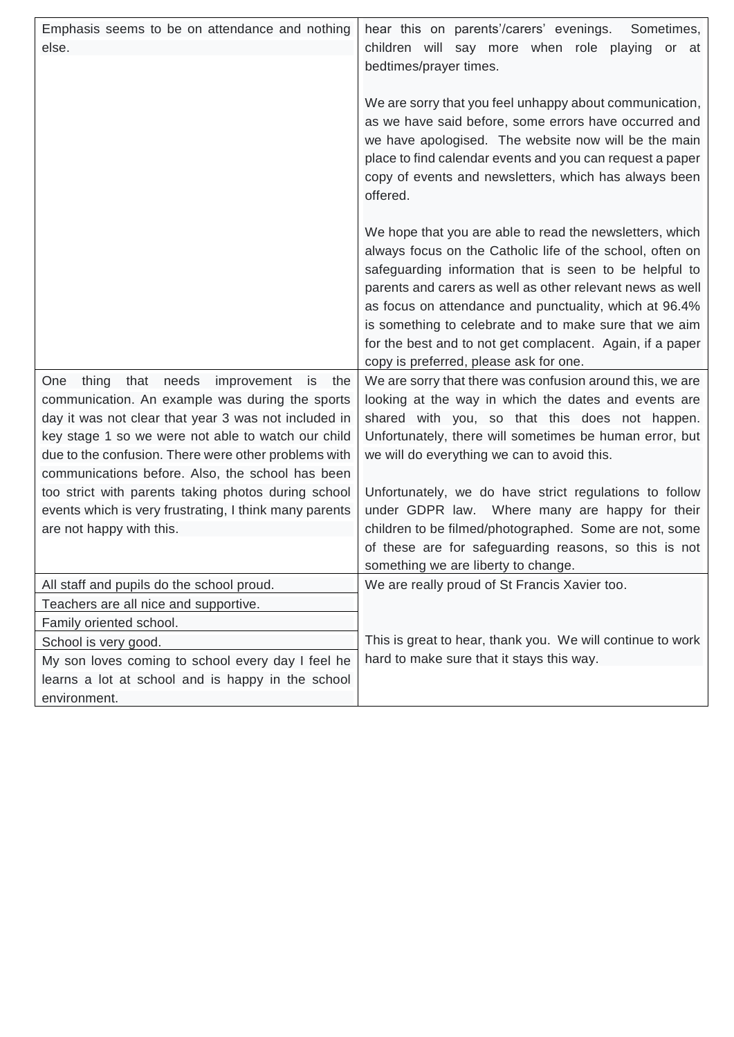| Emphasis seems to be on attendance and nothing<br>else.                                                                                                                                                                                                                                                                                                                                                                                                                          | hear this on parents'/carers' evenings.<br>Sometimes,<br>children will say more when role playing<br>or<br>at<br>bedtimes/prayer times.                                                                                                                                                                                                                                                                                                                                                                      |
|----------------------------------------------------------------------------------------------------------------------------------------------------------------------------------------------------------------------------------------------------------------------------------------------------------------------------------------------------------------------------------------------------------------------------------------------------------------------------------|--------------------------------------------------------------------------------------------------------------------------------------------------------------------------------------------------------------------------------------------------------------------------------------------------------------------------------------------------------------------------------------------------------------------------------------------------------------------------------------------------------------|
|                                                                                                                                                                                                                                                                                                                                                                                                                                                                                  | We are sorry that you feel unhappy about communication,<br>as we have said before, some errors have occurred and<br>we have apologised. The website now will be the main<br>place to find calendar events and you can request a paper<br>copy of events and newsletters, which has always been<br>offered.                                                                                                                                                                                                   |
|                                                                                                                                                                                                                                                                                                                                                                                                                                                                                  | We hope that you are able to read the newsletters, which<br>always focus on the Catholic life of the school, often on<br>safeguarding information that is seen to be helpful to<br>parents and carers as well as other relevant news as well<br>as focus on attendance and punctuality, which at 96.4%<br>is something to celebrate and to make sure that we aim<br>for the best and to not get complacent. Again, if a paper<br>copy is preferred, please ask for one.                                      |
| the<br>thing<br>that<br>needs<br>improvement is<br>One<br>communication. An example was during the sports<br>day it was not clear that year 3 was not included in<br>key stage 1 so we were not able to watch our child<br>due to the confusion. There were other problems with<br>communications before. Also, the school has been<br>too strict with parents taking photos during school<br>events which is very frustrating, I think many parents<br>are not happy with this. | We are sorry that there was confusion around this, we are<br>looking at the way in which the dates and events are<br>shared with you, so that this does not happen.<br>Unfortunately, there will sometimes be human error, but<br>we will do everything we can to avoid this.<br>Unfortunately, we do have strict regulations to follow<br>under GDPR law. Where many are happy for their<br>children to be filmed/photographed. Some are not, some<br>of these are for safeguarding reasons, so this is not |
| All staff and pupils do the school proud.                                                                                                                                                                                                                                                                                                                                                                                                                                        | something we are liberty to change.<br>We are really proud of St Francis Xavier too.                                                                                                                                                                                                                                                                                                                                                                                                                         |
| Teachers are all nice and supportive.<br>Family oriented school.                                                                                                                                                                                                                                                                                                                                                                                                                 |                                                                                                                                                                                                                                                                                                                                                                                                                                                                                                              |
| School is very good.<br>My son loves coming to school every day I feel he<br>learns a lot at school and is happy in the school<br>environment.                                                                                                                                                                                                                                                                                                                                   | This is great to hear, thank you. We will continue to work<br>hard to make sure that it stays this way.                                                                                                                                                                                                                                                                                                                                                                                                      |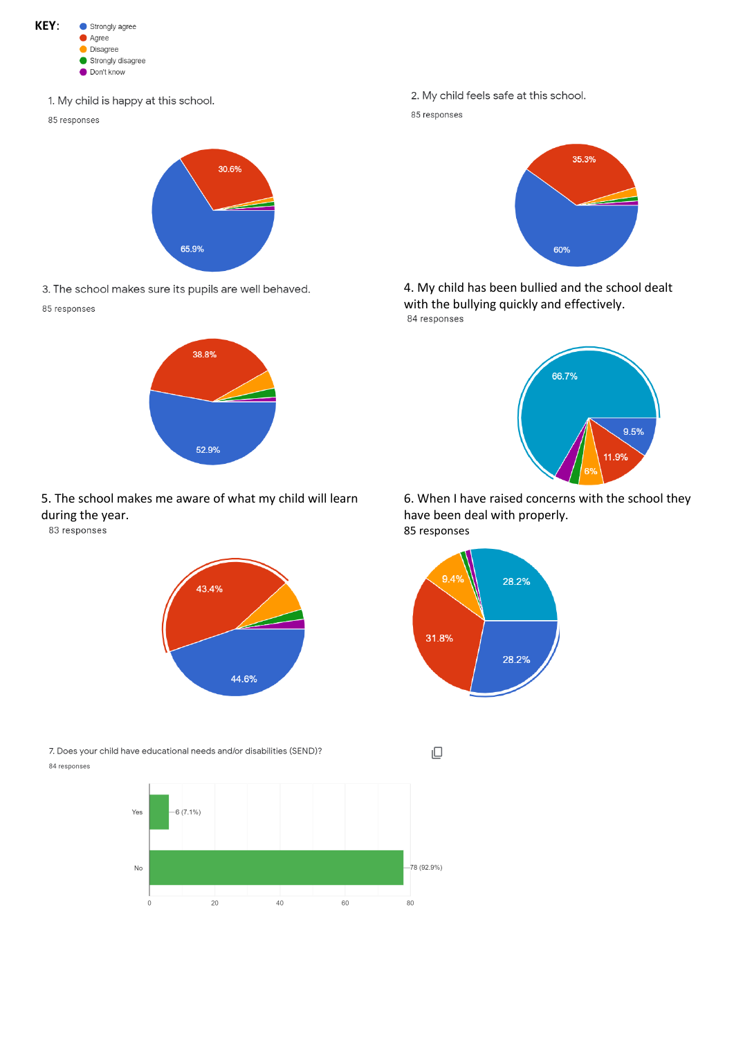

1. My child is happy at this school.

85 responses



3. The school makes sure its pupils are well behaved.

85 responses



# 5. The school makes me aware of what my child will learn during the year.<br>83 responses



7. Does your child have educational needs and/or disabilities (SEND)? 84 responses



2. My child feels safe at this school. 85 responses



4. My child has been bullied and the school dealt with the bullying quickly and effectively.<br>84 responses



6. When I have raised concerns with the school they have been deal with properly. 85 responses



 $\Box$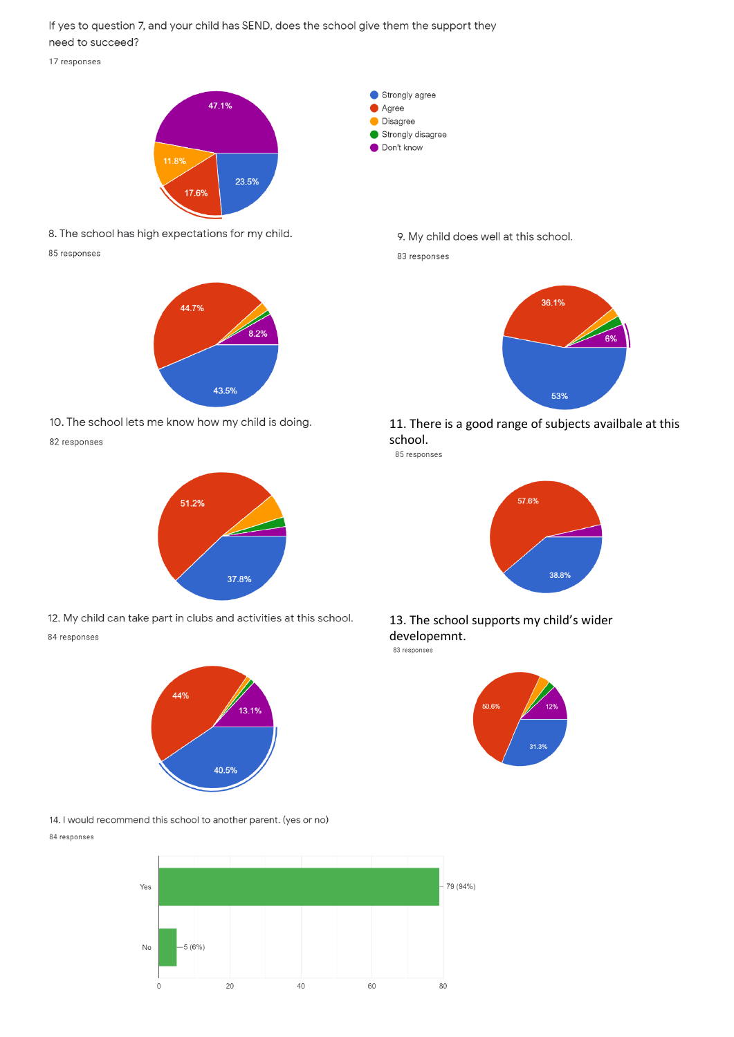If yes to question 7, and your child has SEND, does the school give them the support they need to succeed?

17 responses



8. The school has high expectations for my child. 85 responses



10. The school lets me know how my child is doing.

82 responses



12. My child can take part in clubs and activities at this school. 84 responses



14. I would recommend this school to another parent. (yes or no) 84 responses



- 9. My child does well at this school.
- 83 responses

Strongly agree

Agree **Disagree** Strongly disagree O Don't know



11. There is a good range of subjects availbale at this school.

85 responses



13. The school supports my child's wider developemnt.

83 response